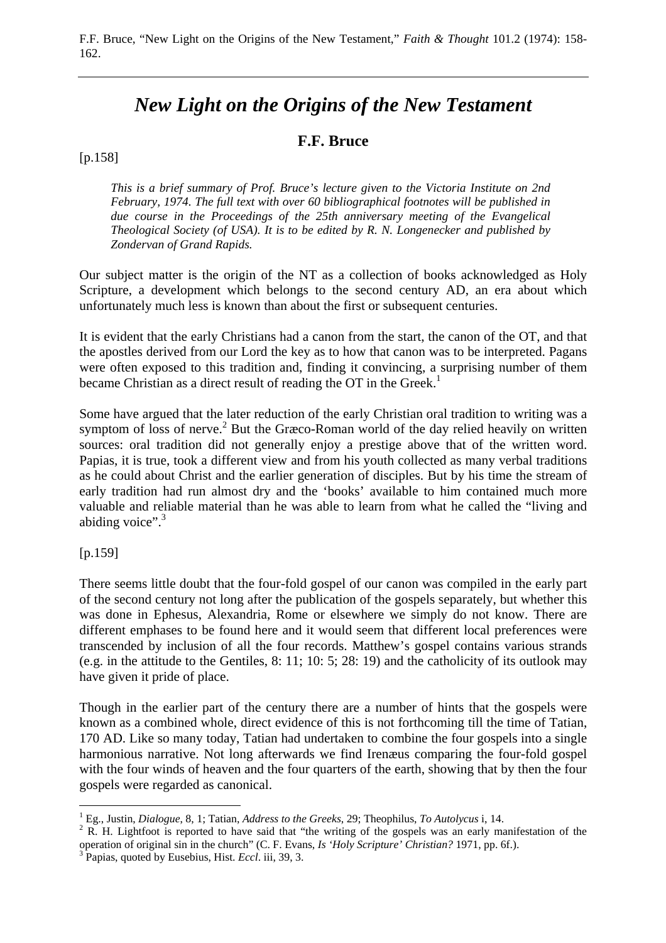# *New Light on the Origins of the New Testament*

# **F.F. Bruce**

## [p.158]

*This is a brief summary of Prof. Bruce's lecture given to the Victoria Institute on 2nd February, 1974. The full text with over 60 bibliographical footnotes will be published in due course in the Proceedings of the 25th anniversary meeting of the Evangelical Theological Society (of USA). It is to be edited by R. N. Longenecker and published by Zondervan of Grand Rapids.* 

Our subject matter is the origin of the NT as a collection of books acknowledged as Holy Scripture, a development which belongs to the second century AD, an era about which unfortunately much less is known than about the first or subsequent centuries.

It is evident that the early Christians had a canon from the start, the canon of the OT, and that the apostles derived from our Lord the key as to how that canon was to be interpreted. Pagans were often exposed to this tradition and, finding it convincing, a surprising number of them became Christian as a direct result of reading the OT in the Greek.<sup>1</sup>

Some have argued that the later reduction of the early Christian oral tradition to writing was a symptom of loss of nerve.<sup>2</sup> But the Græco-Roman world of the day relied heavily on written sources: oral tradition did not generally enjoy a prestige above that of the written word. Papias, it is true, took a different view and from his youth collected as many verbal traditions as he could about Christ and the earlier generation of disciples. But by his time the stream of early tradition had run almost dry and the 'books' available to him contained much more valuable and reliable material than he was able to learn from what he called the "living and abiding voice". $3$ 

#### [p.159]

There seems little doubt that the four-fold gospel of our canon was compiled in the early part of the second century not long after the publication of the gospels separately, but whether this was done in Ephesus, Alexandria, Rome or elsewhere we simply do not know. There are different emphases to be found here and it would seem that different local preferences were transcended by inclusion of all the four records. Matthew's gospel contains various strands (e.g. in the attitude to the Gentiles, 8: 11; 10: 5; 28: 19) and the catholicity of its outlook may have given it pride of place.

Though in the earlier part of the century there are a number of hints that the gospels were known as a combined whole, direct evidence of this is not forthcoming till the time of Tatian, 170 AD. Like so many today, Tatian had undertaken to combine the four gospels into a single harmonious narrative. Not long afterwards we find Irenæus comparing the four-fold gospel with the four winds of heaven and the four quarters of the earth, showing that by then the four gospels were regarded as canonical.

 $\overline{a}$ <sup>1</sup> Eg., Justin, *Dialogue*, 8, 1; Tatian, *Address to the Greeks*, 29; Theophilus, *To Autolycus* i, 14.

<sup>&</sup>lt;sup>2</sup> R. H. Lightfoot is reported to have said that "the writing of the gospels was an early manifestation of the operation of original sin in the church" (C. F. Evans, *Is 'Holy Scripture' Christian?* 1971, pp. 6f.). 3

Papias, quoted by Eusebius, Hist. *Eccl*. iii, 39, 3.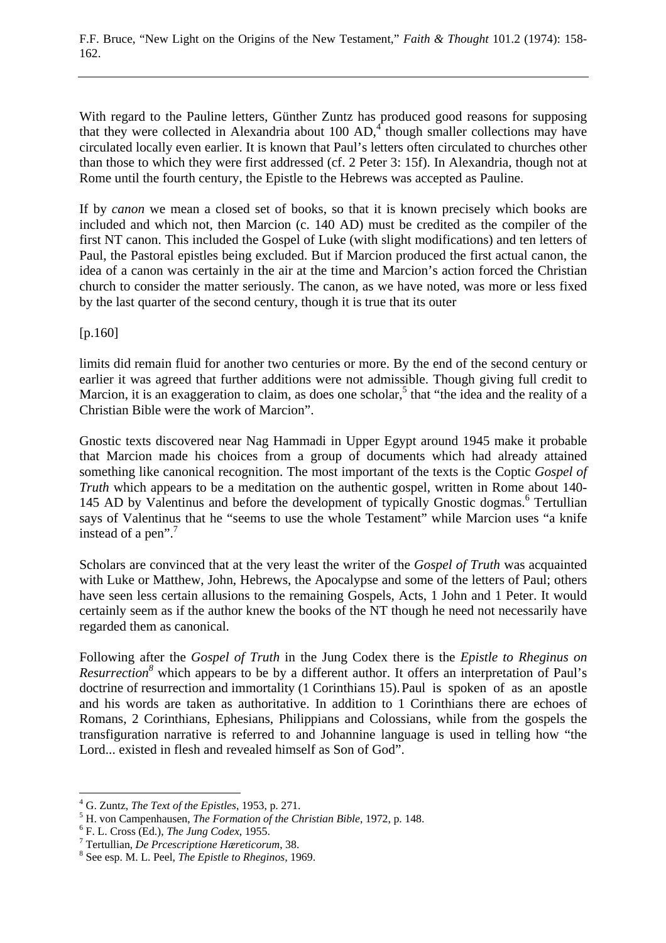F.F. Bruce, "New Light on the Origins of the New Testament," *Faith & Thought* 101.2 (1974): 158- 162.

With regard to the Pauline letters, Günther Zuntz has produced good reasons for supposing that they were collected in Alexandria about  $100$  AD,<sup>4</sup> though smaller collections may have circulated locally even earlier. It is known that Paul's letters often circulated to churches other than those to which they were first addressed (cf. 2 Peter 3: 15f). In Alexandria, though not at Rome until the fourth century, the Epistle to the Hebrews was accepted as Pauline.

If by *canon* we mean a closed set of books, so that it is known precisely which books are included and which not, then Marcion (c. 140 AD) must be credited as the compiler of the first NT canon. This included the Gospel of Luke (with slight modifications) and ten letters of Paul, the Pastoral epistles being excluded. But if Marcion produced the first actual canon, the idea of a canon was certainly in the air at the time and Marcion's action forced the Christian church to consider the matter seriously. The canon, as we have noted, was more or less fixed by the last quarter of the second century, though it is true that its outer

[p.160]

limits did remain fluid for another two centuries or more. By the end of the second century or earlier it was agreed that further additions were not admissible. Though giving full credit to Marcion, it is an exaggeration to claim, as does one scholar,<sup>5</sup> that "the idea and the reality of a Christian Bible were the work of Marcion".

Gnostic texts discovered near Nag Hammadi in Upper Egypt around 1945 make it probable that Marcion made his choices from a group of documents which had already attained something like canonical recognition. The most important of the texts is the Coptic *Gospel of Truth* which appears to be a meditation on the authentic gospel, written in Rome about 140- 145 AD by Valentinus and before the development of typically Gnostic dogmas.<sup>6</sup> Tertullian says of Valentinus that he "seems to use the whole Testament" while Marcion uses "a knife instead of a pen".<sup>7</sup>

Scholars are convinced that at the very least the writer of the *Gospel of Truth* was acquainted with Luke or Matthew, John, Hebrews, the Apocalypse and some of the letters of Paul; others have seen less certain allusions to the remaining Gospels, Acts, 1 John and 1 Peter. It would certainly seem as if the author knew the books of the NT though he need not necessarily have regarded them as canonical.

Following after the *Gospel of Truth* in the Jung Codex there is the *Epistle to Rheginus on Resurrection*<sup>8</sup> which appears to be by a different author. It offers an interpretation of Paul's doctrine of resurrection and immortality (1 Corinthians 15). Paul is spoken of as an apostle and his words are taken as authoritative. In addition to 1 Corinthians there are echoes of Romans, 2 Corinthians, Ephesians, Philippians and Colossians, while from the gospels the transfiguration narrative is referred to and Johannine language is used in telling how "the Lord... existed in flesh and revealed himself as Son of God".

 $\overline{a}$ 

<sup>&</sup>lt;sup>4</sup> G. Zuntz, *The Text of the Epistles*, 1953, p. 271.<br><sup>5</sup> H. von Componheusen, *The Eormation of the Ch* 

<sup>&</sup>lt;sup>5</sup> H. von Campenhausen, *The Formation of the Christian Bible*, 1972, p. 148.

F. L. Cross (Ed.), *The Jung Codex*, 1955. 7

<sup>&</sup>lt;sup>7</sup> Tertullian, *De Prcescriptione Hæreticorum*, 38.

See esp. M. L. Peel, *The Epistle to Rheginos,* 1969.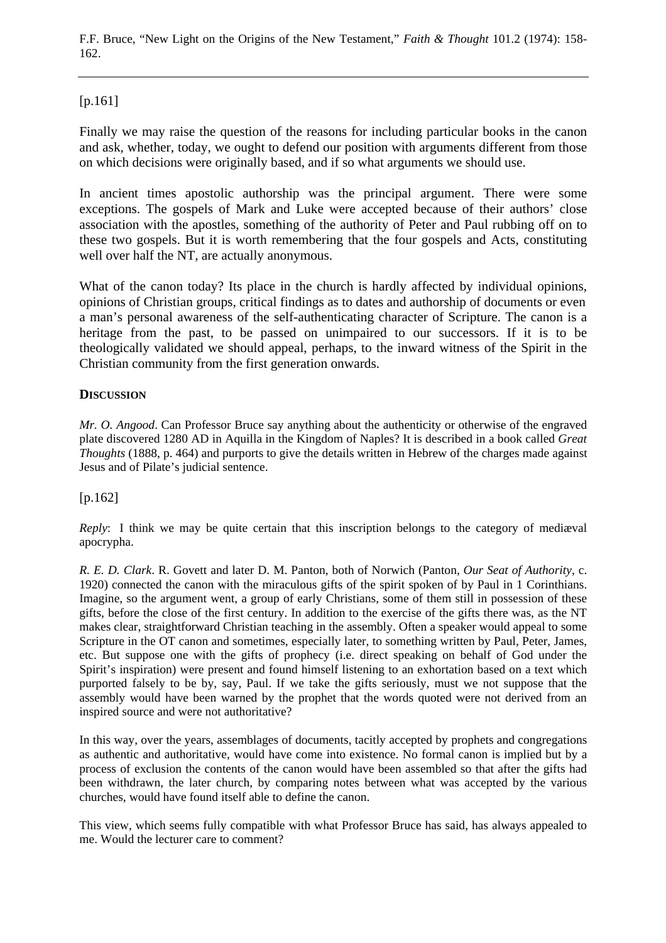F.F. Bruce, "New Light on the Origins of the New Testament," *Faith & Thought* 101.2 (1974): 158- 162.

[p.161]

Finally we may raise the question of the reasons for including particular books in the canon and ask, whether, today, we ought to defend our position with arguments different from those on which decisions were originally based, and if so what arguments we should use.

In ancient times apostolic authorship was the principal argument. There were some exceptions. The gospels of Mark and Luke were accepted because of their authors' close association with the apostles, something of the authority of Peter and Paul rubbing off on to these two gospels. But it is worth remembering that the four gospels and Acts, constituting well over half the NT, are actually anonymous.

What of the canon today? Its place in the church is hardly affected by individual opinions, opinions of Christian groups, critical findings as to dates and authorship of documents or even a man's personal awareness of the self-authenticating character of Scripture. The canon is a heritage from the past, to be passed on unimpaired to our successors. If it is to be theologically validated we should appeal, perhaps, to the inward witness of the Spirit in the Christian community from the first generation onwards.

### **DISCUSSION**

*Mr. O. Angood*. Can Professor Bruce say anything about the authenticity or otherwise of the engraved plate discovered 1280 AD in Aquilla in the Kingdom of Naples? It is described in a book called *Great Thoughts* (1888, p. 464) and purports to give the details written in Hebrew of the charges made against Jesus and of Pilate's judicial sentence.

# [p.162]

*Reply*: I think we may be quite certain that this inscription belongs to the category of mediaval apocrypha.

*R. E. D. Clark*. R. Govett and later D. M. Panton, both of Norwich (Panton, *Our Seat of Authority*, c. 1920) connected the canon with the miraculous gifts of the spirit spoken of by Paul in 1 Corinthians. Imagine, so the argument went, a group of early Christians, some of them still in possession of these gifts, before the close of the first century. In addition to the exercise of the gifts there was, as the NT makes clear, straightforward Christian teaching in the assembly. Often a speaker would appeal to some Scripture in the OT canon and sometimes, especially later, to something written by Paul, Peter, James, etc. But suppose one with the gifts of prophecy (i.e. direct speaking on behalf of God under the Spirit's inspiration) were present and found himself listening to an exhortation based on a text which purported falsely to be by, say, Paul. If we take the gifts seriously, must we not suppose that the assembly would have been warned by the prophet that the words quoted were not derived from an inspired source and were not authoritative?

In this way, over the years, assemblages of documents, tacitly accepted by prophets and congregations as authentic and authoritative, would have come into existence. No formal canon is implied but by a process of exclusion the contents of the canon would have been assembled so that after the gifts had been withdrawn, the later church, by comparing notes between what was accepted by the various churches, would have found itself able to define the canon.

This view, which seems fully compatible with what Professor Bruce has said, has always appealed to me. Would the lecturer care to comment?